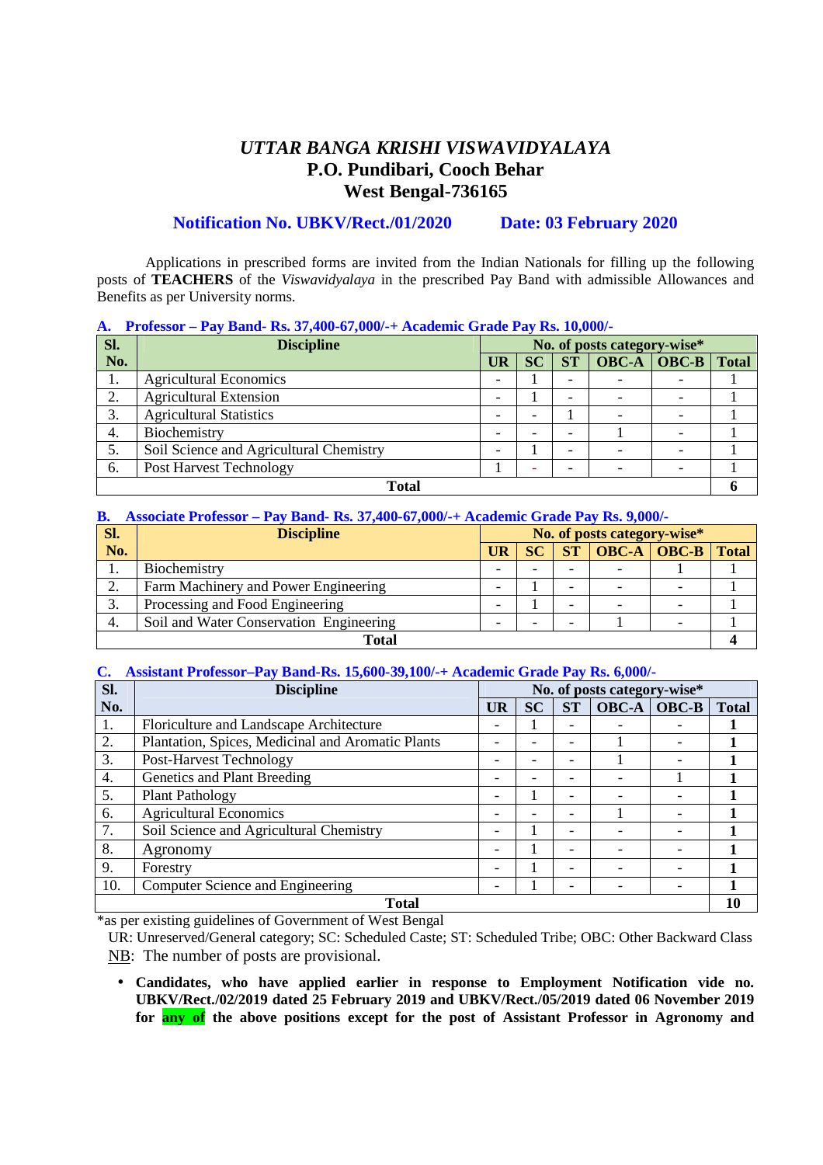# *UTTAR BANGA KRISHI VISWAVIDYALAYA*  **P.O. Pundibari, Cooch Behar West Bengal-736165**

### **Notification No. UBKV/Rect./01/2020 Date: 03 February 2020**

Applications in prescribed forms are invited from the Indian Nationals for filling up the following posts of **TEACHERS** of the *Viswavidyalaya* in the prescribed Pay Band with admissible Allowances and Benefits as per University norms.

#### **A. Professor – Pay Band- Rs. 37,400-67,000/-+ Academic Grade Pay Rs. 10,000/-**

| Sl.          | <b>Discipline</b>                       | No. of posts category-wise* |           |                          |                 |              |
|--------------|-----------------------------------------|-----------------------------|-----------|--------------------------|-----------------|--------------|
| No.          |                                         | UR                          | <b>SC</b> | <b>ST</b>                | $OBC-A$ $OBC-B$ | <b>Total</b> |
| 1.           | <b>Agricultural Economics</b>           |                             |           |                          |                 |              |
|              | <b>Agricultural Extension</b>           | -                           |           | $\overline{\phantom{a}}$ |                 |              |
| 3.           | <b>Agricultural Statistics</b>          |                             |           |                          |                 |              |
| 4.           | Biochemistry                            |                             |           | -                        |                 |              |
| 5.           | Soil Science and Agricultural Chemistry |                             |           | -                        |                 |              |
| 6.           | Post Harvest Technology                 |                             |           |                          |                 |              |
| <b>Total</b> |                                         |                             |           |                          |                 |              |

#### **B. Associate Professor – Pay Band- Rs. 37,400-67,000/-+ Academic Grade Pay Rs. 9,000/-**

| Sl.   | No. of posts category-wise*<br><b>Discipline</b> |                          |           |           |  |                                       |              |
|-------|--------------------------------------------------|--------------------------|-----------|-----------|--|---------------------------------------|--------------|
| No.   |                                                  | UR                       | <b>SC</b> | <b>ST</b> |  | $\overline{OBC-A}$ $\overline{OBC-B}$ | <b>Total</b> |
|       | Biochemistry                                     | -                        |           |           |  |                                       |              |
|       | Farm Machinery and Power Engineering             | -                        |           |           |  |                                       |              |
| 3.    | Processing and Food Engineering                  | $\overline{\phantom{0}}$ |           |           |  |                                       |              |
| 4.    | Soil and Water Conservation Engineering<br>-     |                          |           |           |  |                                       |              |
| Total |                                                  |                          |           |           |  |                                       |              |

#### **C. Assistant Professor–Pay Band-Rs. 15,600-39,100/-+ Academic Grade Pay Rs. 6,000/-**

| Sl.          | No. of posts category-wise*<br><b>Discipline</b>  |   |           |           |              |       |              |
|--------------|---------------------------------------------------|---|-----------|-----------|--------------|-------|--------------|
| No.          |                                                   |   | <b>SC</b> | <b>ST</b> | <b>OBC-A</b> | OBC-B | <b>Total</b> |
| 1.           | Floriculture and Landscape Architecture           | - |           |           |              |       |              |
| 2.           | Plantation, Spices, Medicinal and Aromatic Plants |   |           |           |              |       |              |
| 3.           | <b>Post-Harvest Technology</b>                    |   |           |           |              |       |              |
| 4.           | Genetics and Plant Breeding                       |   |           |           |              |       |              |
| 5.           | <b>Plant Pathology</b>                            |   |           |           |              |       |              |
| 6.           | <b>Agricultural Economics</b>                     |   |           |           |              |       |              |
| 7.           | Soil Science and Agricultural Chemistry           |   |           |           |              |       |              |
| 8.           | Agronomy                                          |   |           |           |              |       |              |
| 9.           | Forestry                                          |   |           |           |              |       |              |
| 10.          | Computer Science and Engineering                  |   |           |           |              |       |              |
| <b>Total</b> |                                                   |   |           |           |              | 10    |              |

\*as per existing guidelines of Government of West Bengal

UR: Unreserved/General category; SC: Scheduled Caste; ST: Scheduled Tribe; OBC: Other Backward Class NB: The number of posts are provisional.

• **Candidates, who have applied earlier in response to Employment Notification vide no. UBKV/Rect./02/2019 dated 25 February 2019 and UBKV/Rect./05/2019 dated 06 November 2019 for any of the above positions except for the post of Assistant Professor in Agronomy and**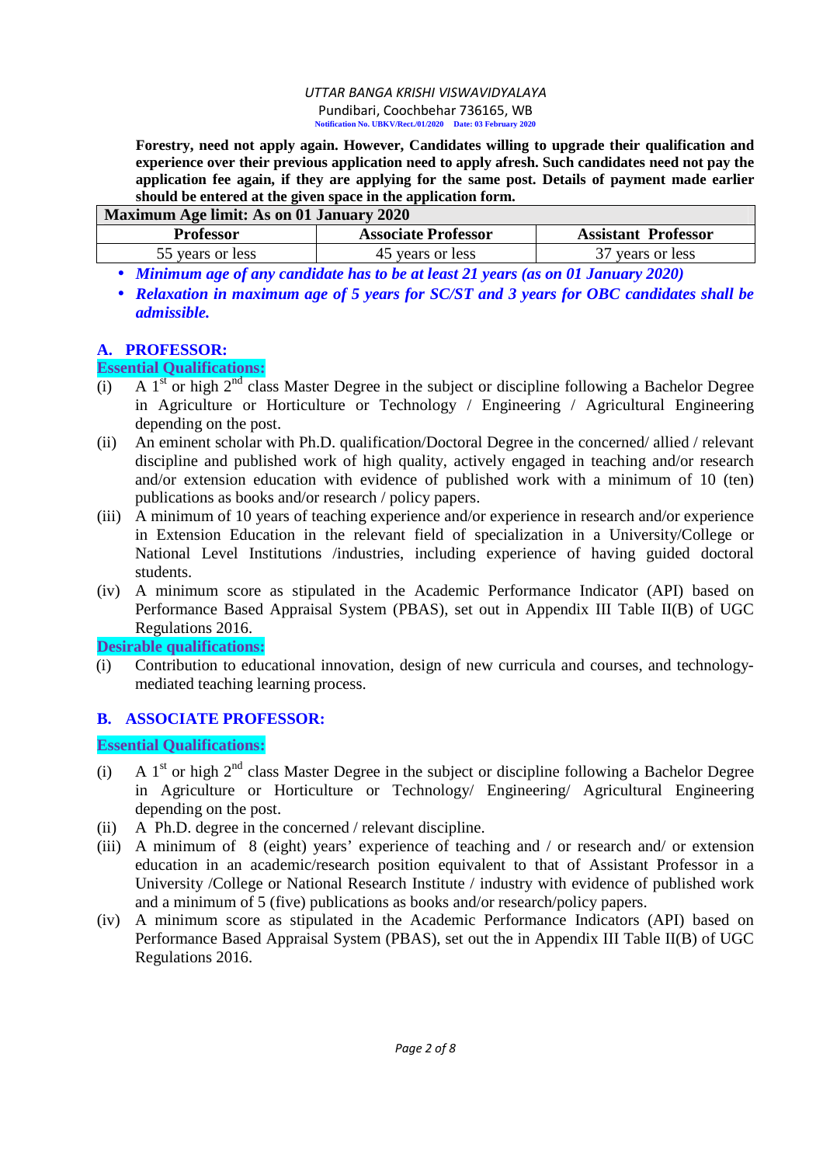**Forestry, need not apply again. However, Candidates willing to upgrade their qualification and experience over their previous application need to apply afresh. Such candidates need not pay the application fee again, if they are applying for the same post. Details of payment made earlier should be entered at the given space in the application form.** 

| Maximum Age limit: As on 01 January 2020 |                            |                            |  |  |  |
|------------------------------------------|----------------------------|----------------------------|--|--|--|
| <b>Professor</b>                         | <b>Associate Professor</b> | <b>Assistant Professor</b> |  |  |  |
| 55 years or less                         | 45 years or less           | 37 years or less           |  |  |  |

• *Minimum age of any candidate has to be at least 21 years (as on 01 January 2020)* 

• *Relaxation in maximum age of 5 years for SC/ST and 3 years for OBC candidates shall be admissible.* 

### **A. PROFESSOR:**

### **Essential Qualifications:**

- $(i)$  A 1<sup>st</sup> or high 2<sup>nd</sup> class Master Degree in the subject or discipline following a Bachelor Degree in Agriculture or Horticulture or Technology / Engineering / Agricultural Engineering depending on the post.
- (ii) An eminent scholar with Ph.D. qualification/Doctoral Degree in the concerned/ allied / relevant discipline and published work of high quality, actively engaged in teaching and/or research and/or extension education with evidence of published work with a minimum of 10 (ten) publications as books and/or research / policy papers.
- (iii) A minimum of 10 years of teaching experience and/or experience in research and/or experience in Extension Education in the relevant field of specialization in a University/College or National Level Institutions /industries, including experience of having guided doctoral students.
- (iv) A minimum score as stipulated in the Academic Performance Indicator (API) based on Performance Based Appraisal System (PBAS), set out in Appendix III Table II(B) of UGC Regulations 2016.

**Desirable qualifications:** 

(i) Contribution to educational innovation, design of new curricula and courses, and technologymediated teaching learning process.

# **B. ASSOCIATE PROFESSOR:**

# **Essential Qualifications:**

- (i) A  $1<sup>st</sup>$  or high  $2<sup>nd</sup>$  class Master Degree in the subject or discipline following a Bachelor Degree in Agriculture or Horticulture or Technology/ Engineering/ Agricultural Engineering depending on the post.
- (ii) A Ph.D. degree in the concerned / relevant discipline.
- (iii) A minimum of 8 (eight) years' experience of teaching and / or research and/ or extension education in an academic/research position equivalent to that of Assistant Professor in a University /College or National Research Institute / industry with evidence of published work and a minimum of 5 (five) publications as books and/or research/policy papers.
- (iv) A minimum score as stipulated in the Academic Performance Indicators (API) based on Performance Based Appraisal System (PBAS), set out the in Appendix III Table II(B) of UGC Regulations 2016.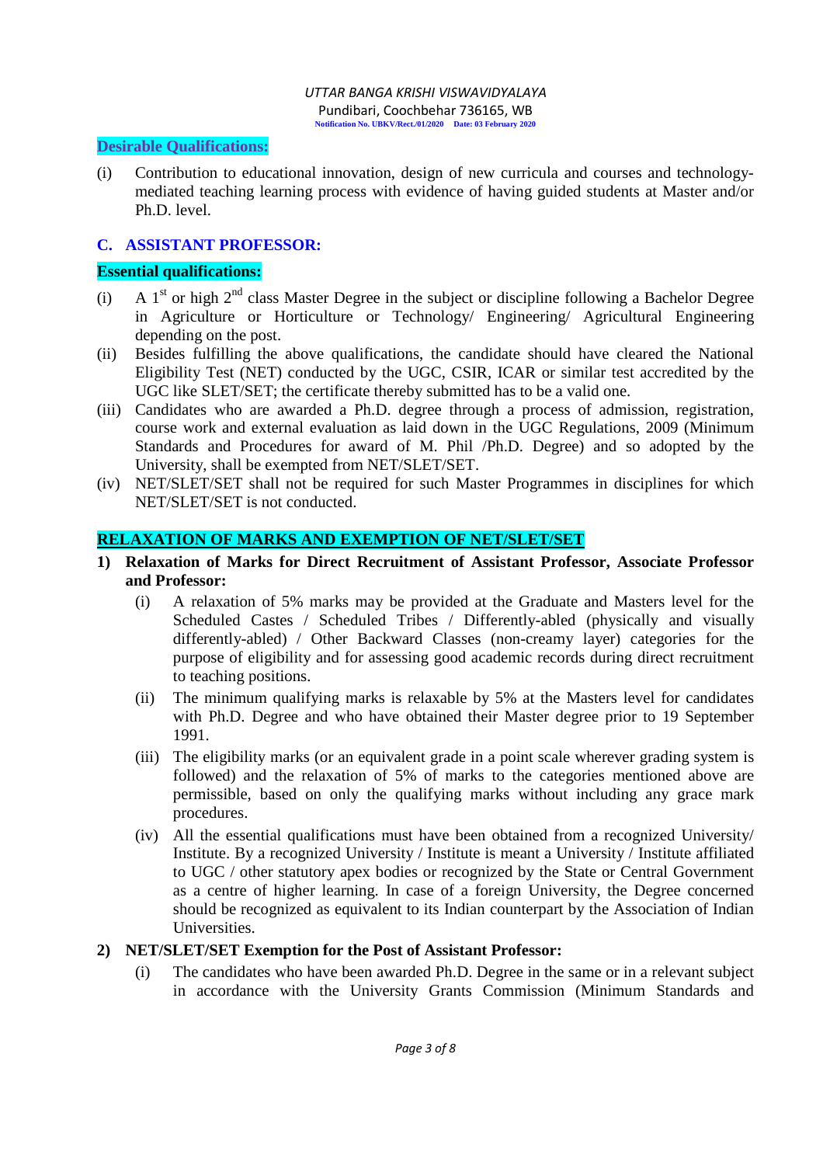### **Desirable Qualifications:**

(i) Contribution to educational innovation, design of new curricula and courses and technologymediated teaching learning process with evidence of having guided students at Master and/or Ph.D. level.

### **C. ASSISTANT PROFESSOR:**

### **Essential qualifications:**

- (i) A  $1<sup>st</sup>$  or high  $2<sup>nd</sup>$  class Master Degree in the subject or discipline following a Bachelor Degree in Agriculture or Horticulture or Technology/ Engineering/ Agricultural Engineering depending on the post.
- (ii) Besides fulfilling the above qualifications, the candidate should have cleared the National Eligibility Test (NET) conducted by the UGC, CSIR, ICAR or similar test accredited by the UGC like SLET/SET; the certificate thereby submitted has to be a valid one.
- (iii) Candidates who are awarded a Ph.D. degree through a process of admission, registration, course work and external evaluation as laid down in the UGC Regulations, 2009 (Minimum Standards and Procedures for award of M. Phil /Ph.D. Degree) and so adopted by the University, shall be exempted from NET/SLET/SET.
- (iv) NET/SLET/SET shall not be required for such Master Programmes in disciplines for which NET/SLET/SET is not conducted.

### **RELAXATION OF MARKS AND EXEMPTION OF NET/SLET/SET**

- **1) Relaxation of Marks for Direct Recruitment of Assistant Professor, Associate Professor and Professor:** 
	- (i) A relaxation of 5% marks may be provided at the Graduate and Masters level for the Scheduled Castes / Scheduled Tribes / Differently-abled (physically and visually differently-abled) / Other Backward Classes (non-creamy layer) categories for the purpose of eligibility and for assessing good academic records during direct recruitment to teaching positions.
	- (ii) The minimum qualifying marks is relaxable by 5% at the Masters level for candidates with Ph.D. Degree and who have obtained their Master degree prior to 19 September 1991.
	- (iii) The eligibility marks (or an equivalent grade in a point scale wherever grading system is followed) and the relaxation of 5% of marks to the categories mentioned above are permissible, based on only the qualifying marks without including any grace mark procedures.
	- (iv) All the essential qualifications must have been obtained from a recognized University/ Institute. By a recognized University / Institute is meant a University / Institute affiliated to UGC / other statutory apex bodies or recognized by the State or Central Government as a centre of higher learning. In case of a foreign University, the Degree concerned should be recognized as equivalent to its Indian counterpart by the Association of Indian Universities.

### **2) NET/SLET/SET Exemption for the Post of Assistant Professor:**

(i) The candidates who have been awarded Ph.D. Degree in the same or in a relevant subject in accordance with the University Grants Commission (Minimum Standards and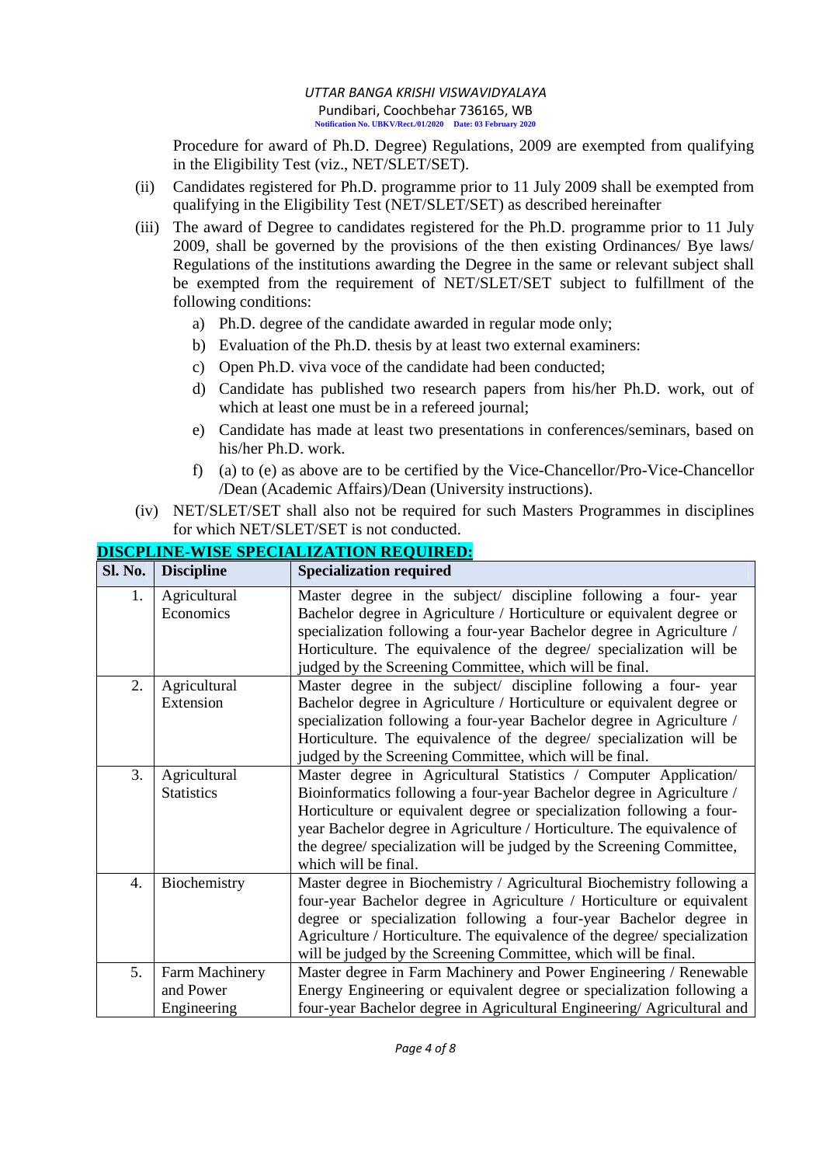Procedure for award of Ph.D. Degree) Regulations, 2009 are exempted from qualifying in the Eligibility Test (viz., NET/SLET/SET).

- (ii) Candidates registered for Ph.D. programme prior to 11 July 2009 shall be exempted from qualifying in the Eligibility Test (NET/SLET/SET) as described hereinafter
- (iii) The award of Degree to candidates registered for the Ph.D. programme prior to 11 July 2009, shall be governed by the provisions of the then existing Ordinances/ Bye laws/ Regulations of the institutions awarding the Degree in the same or relevant subject shall be exempted from the requirement of NET/SLET/SET subject to fulfillment of the following conditions:
	- a) Ph.D. degree of the candidate awarded in regular mode only;
	- b) Evaluation of the Ph.D. thesis by at least two external examiners:
	- c) Open Ph.D. viva voce of the candidate had been conducted;
	- d) Candidate has published two research papers from his/her Ph.D. work, out of which at least one must be in a refereed journal;
	- e) Candidate has made at least two presentations in conferences/seminars, based on his/her Ph.D. work.
	- f) (a) to (e) as above are to be certified by the Vice-Chancellor/Pro-Vice-Chancellor /Dean (Academic Affairs)/Dean (University instructions).
- (iv) NET/SLET/SET shall also not be required for such Masters Programmes in disciplines for which NET/SLET/SET is not conducted.

| Sl. No.          | <b>Discipline</b>                          | <b>Specialization required</b>                                                                                                                                                                                                                                                                                                                                                                |
|------------------|--------------------------------------------|-----------------------------------------------------------------------------------------------------------------------------------------------------------------------------------------------------------------------------------------------------------------------------------------------------------------------------------------------------------------------------------------------|
| 1.               | Agricultural<br>Economics                  | Master degree in the subject/ discipline following a four-year<br>Bachelor degree in Agriculture / Horticulture or equivalent degree or<br>specialization following a four-year Bachelor degree in Agriculture /<br>Horticulture. The equivalence of the degree/ specialization will be<br>judged by the Screening Committee, which will be final.                                            |
| 2.               | Agricultural<br>Extension                  | Master degree in the subject/ discipline following a four-year<br>Bachelor degree in Agriculture / Horticulture or equivalent degree or<br>specialization following a four-year Bachelor degree in Agriculture /<br>Horticulture. The equivalence of the degree/ specialization will be<br>judged by the Screening Committee, which will be final.                                            |
| 3.               | Agricultural<br><b>Statistics</b>          | Master degree in Agricultural Statistics / Computer Application/<br>Bioinformatics following a four-year Bachelor degree in Agriculture /<br>Horticulture or equivalent degree or specialization following a four-<br>year Bachelor degree in Agriculture / Horticulture. The equivalence of<br>the degree/ specialization will be judged by the Screening Committee,<br>which will be final. |
| $\overline{4}$ . | Biochemistry                               | Master degree in Biochemistry / Agricultural Biochemistry following a<br>four-year Bachelor degree in Agriculture / Horticulture or equivalent<br>degree or specialization following a four-year Bachelor degree in<br>Agriculture / Horticulture. The equivalence of the degree/ specialization<br>will be judged by the Screening Committee, which will be final.                           |
| 5.               | Farm Machinery<br>and Power<br>Engineering | Master degree in Farm Machinery and Power Engineering / Renewable<br>Energy Engineering or equivalent degree or specialization following a<br>four-year Bachelor degree in Agricultural Engineering/Agricultural and                                                                                                                                                                          |

# **DISCPLINE-WISE SPECIALIZATION REQUIRED:**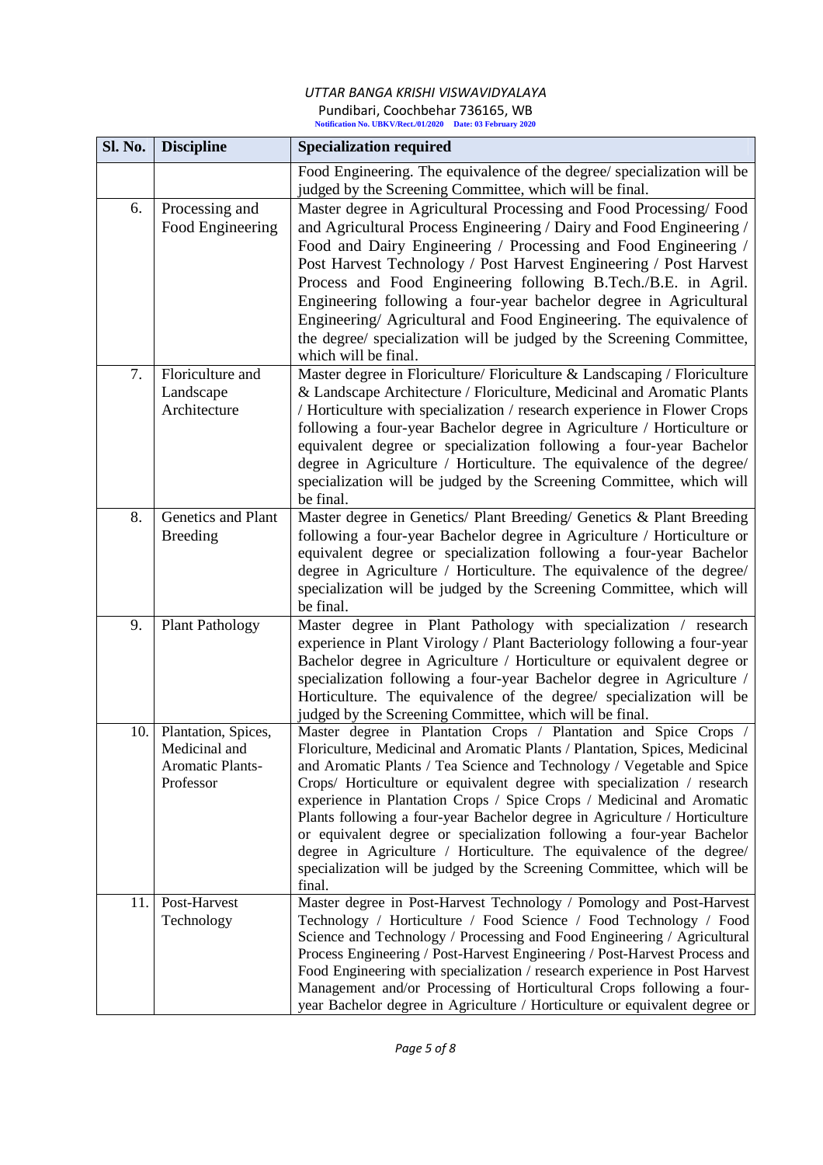| <b>Sl. No.</b> | <b>Discipline</b>                                                            | <b>Specialization required</b>                                                                                                                                                                                                                                                                                                                                                                                                                                                                                                                                                                                                                                                                    |
|----------------|------------------------------------------------------------------------------|---------------------------------------------------------------------------------------------------------------------------------------------------------------------------------------------------------------------------------------------------------------------------------------------------------------------------------------------------------------------------------------------------------------------------------------------------------------------------------------------------------------------------------------------------------------------------------------------------------------------------------------------------------------------------------------------------|
|                |                                                                              | Food Engineering. The equivalence of the degree/ specialization will be<br>judged by the Screening Committee, which will be final.                                                                                                                                                                                                                                                                                                                                                                                                                                                                                                                                                                |
| 6.             | Processing and<br>Food Engineering                                           | Master degree in Agricultural Processing and Food Processing/Food<br>and Agricultural Process Engineering / Dairy and Food Engineering /<br>Food and Dairy Engineering / Processing and Food Engineering /<br>Post Harvest Technology / Post Harvest Engineering / Post Harvest<br>Process and Food Engineering following B.Tech./B.E. in Agril.<br>Engineering following a four-year bachelor degree in Agricultural<br>Engineering/ Agricultural and Food Engineering. The equivalence of<br>the degree/ specialization will be judged by the Screening Committee,<br>which will be final.                                                                                                      |
| 7.             | Floriculture and<br>Landscape<br>Architecture                                | Master degree in Floriculture/ Floriculture & Landscaping / Floriculture<br>& Landscape Architecture / Floriculture, Medicinal and Aromatic Plants<br>/ Horticulture with specialization / research experience in Flower Crops<br>following a four-year Bachelor degree in Agriculture / Horticulture or<br>equivalent degree or specialization following a four-year Bachelor<br>degree in Agriculture / Horticulture. The equivalence of the degree/<br>specialization will be judged by the Screening Committee, which will<br>be final.                                                                                                                                                       |
| 8.             | Genetics and Plant<br><b>Breeding</b>                                        | Master degree in Genetics/ Plant Breeding/ Genetics & Plant Breeding<br>following a four-year Bachelor degree in Agriculture / Horticulture or<br>equivalent degree or specialization following a four-year Bachelor<br>degree in Agriculture / Horticulture. The equivalence of the degree/<br>specialization will be judged by the Screening Committee, which will<br>be final.                                                                                                                                                                                                                                                                                                                 |
| 9.             | <b>Plant Pathology</b>                                                       | Master degree in Plant Pathology with specialization / research<br>experience in Plant Virology / Plant Bacteriology following a four-year<br>Bachelor degree in Agriculture / Horticulture or equivalent degree or<br>specialization following a four-year Bachelor degree in Agriculture /<br>Horticulture. The equivalence of the degree/ specialization will be<br>judged by the Screening Committee, which will be final.                                                                                                                                                                                                                                                                    |
| 10.            | Plantation, Spices,<br>Medicinal and<br><b>Aromatic Plants-</b><br>Professor | Master degree in Plantation Crops / Plantation and Spice Crops /<br>Floriculture, Medicinal and Aromatic Plants / Plantation, Spices, Medicinal<br>and Aromatic Plants / Tea Science and Technology / Vegetable and Spice<br>Crops/ Horticulture or equivalent degree with specialization / research<br>experience in Plantation Crops / Spice Crops / Medicinal and Aromatic<br>Plants following a four-year Bachelor degree in Agriculture / Horticulture<br>or equivalent degree or specialization following a four-year Bachelor<br>degree in Agriculture / Horticulture. The equivalence of the degree/<br>specialization will be judged by the Screening Committee, which will be<br>final. |
| 11.            | Post-Harvest<br>Technology                                                   | Master degree in Post-Harvest Technology / Pomology and Post-Harvest<br>Technology / Horticulture / Food Science / Food Technology / Food<br>Science and Technology / Processing and Food Engineering / Agricultural<br>Process Engineering / Post-Harvest Engineering / Post-Harvest Process and<br>Food Engineering with specialization / research experience in Post Harvest<br>Management and/or Processing of Horticultural Crops following a four-<br>year Bachelor degree in Agriculture / Horticulture or equivalent degree or                                                                                                                                                            |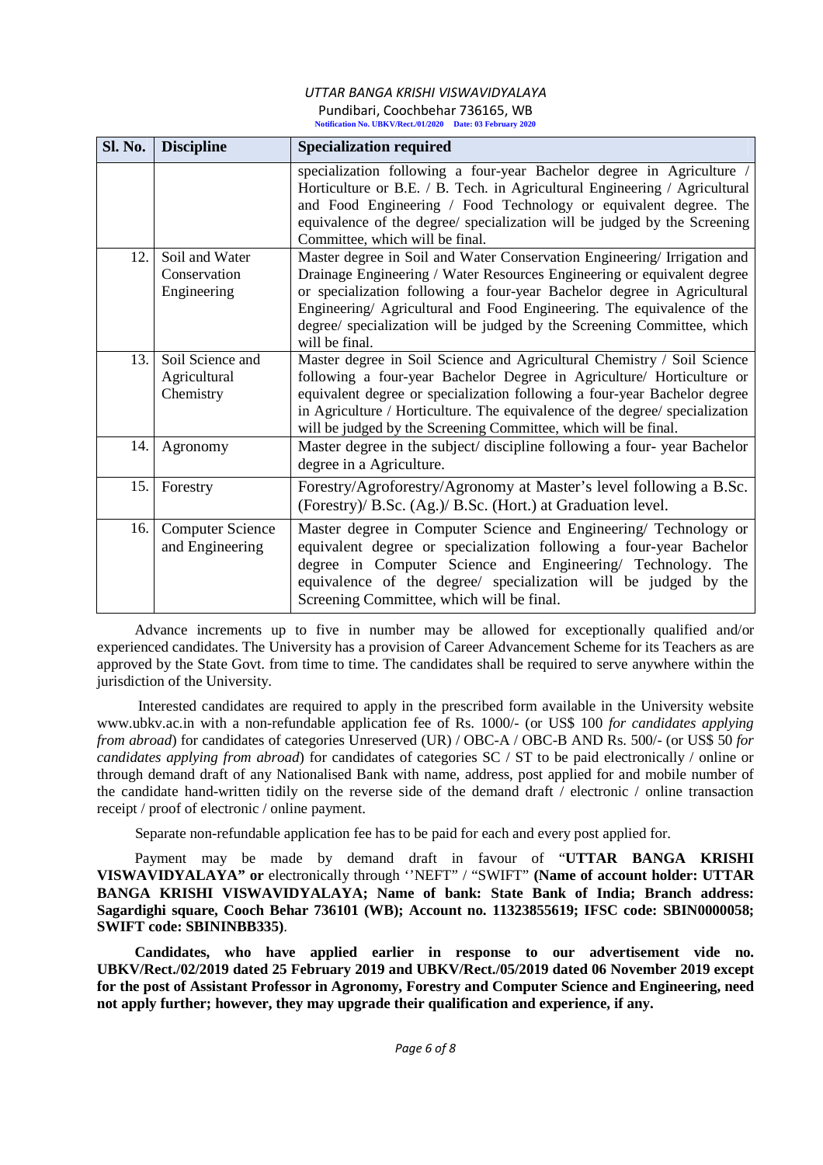| Sl. No. | <b>Discipline</b>                             | <b>Specialization required</b>                                                                                                                                                                                                                                                                                                                                                                       |
|---------|-----------------------------------------------|------------------------------------------------------------------------------------------------------------------------------------------------------------------------------------------------------------------------------------------------------------------------------------------------------------------------------------------------------------------------------------------------------|
|         |                                               | specialization following a four-year Bachelor degree in Agriculture /<br>Horticulture or B.E. / B. Tech. in Agricultural Engineering / Agricultural<br>and Food Engineering / Food Technology or equivalent degree. The<br>equivalence of the degree/ specialization will be judged by the Screening<br>Committee, which will be final.                                                              |
| 12.     | Soil and Water<br>Conservation<br>Engineering | Master degree in Soil and Water Conservation Engineering/Irrigation and<br>Drainage Engineering / Water Resources Engineering or equivalent degree<br>or specialization following a four-year Bachelor degree in Agricultural<br>Engineering/ Agricultural and Food Engineering. The equivalence of the<br>degree/ specialization will be judged by the Screening Committee, which<br>will be final. |
| 13.     | Soil Science and<br>Agricultural<br>Chemistry | Master degree in Soil Science and Agricultural Chemistry / Soil Science<br>following a four-year Bachelor Degree in Agriculture/ Horticulture or<br>equivalent degree or specialization following a four-year Bachelor degree<br>in Agriculture / Horticulture. The equivalence of the degree/ specialization<br>will be judged by the Screening Committee, which will be final.                     |
| 14.     | Agronomy                                      | Master degree in the subject/ discipline following a four-year Bachelor<br>degree in a Agriculture.                                                                                                                                                                                                                                                                                                  |
| 15.     | Forestry                                      | Forestry/Agroforestry/Agronomy at Master's level following a B.Sc.<br>(Forestry)/ B.Sc. (Ag.)/ B.Sc. (Hort.) at Graduation level.                                                                                                                                                                                                                                                                    |
| 16.     | <b>Computer Science</b><br>and Engineering    | Master degree in Computer Science and Engineering/ Technology or<br>equivalent degree or specialization following a four-year Bachelor<br>degree in Computer Science and Engineering/ Technology. The<br>equivalence of the degree/ specialization will be judged by the<br>Screening Committee, which will be final.                                                                                |

Advance increments up to five in number may be allowed for exceptionally qualified and/or experienced candidates. The University has a provision of Career Advancement Scheme for its Teachers as are approved by the State Govt. from time to time. The candidates shall be required to serve anywhere within the jurisdiction of the University.

Interested candidates are required to apply in the prescribed form available in the University website www.ubkv.ac.in with a non-refundable application fee of Rs. 1000/- (or US\$ 100 *for candidates applying from abroad*) for candidates of categories Unreserved (UR) / OBC-A / OBC-B AND Rs. 500/- (or US\$ 50 *for candidates applying from abroad*) for candidates of categories SC / ST to be paid electronically / online or through demand draft of any Nationalised Bank with name, address, post applied for and mobile number of the candidate hand-written tidily on the reverse side of the demand draft / electronic / online transaction receipt / proof of electronic / online payment.

Separate non-refundable application fee has to be paid for each and every post applied for.

Payment may be made by demand draft in favour of "**UTTAR BANGA KRISHI VISWAVIDYALAYA" or** electronically through ''NEFT" / "SWIFT" **(Name of account holder: UTTAR BANGA KRISHI VISWAVIDYALAYA; Name of bank: State Bank of India; Branch address: Sagardighi square, Cooch Behar 736101 (WB); Account no. 11323855619; IFSC code: SBIN0000058; SWIFT code: SBININBB335)**.

**Candidates, who have applied earlier in response to our advertisement vide no. UBKV/Rect./02/2019 dated 25 February 2019 and UBKV/Rect./05/2019 dated 06 November 2019 except for the post of Assistant Professor in Agronomy, Forestry and Computer Science and Engineering, need not apply further; however, they may upgrade their qualification and experience, if any.**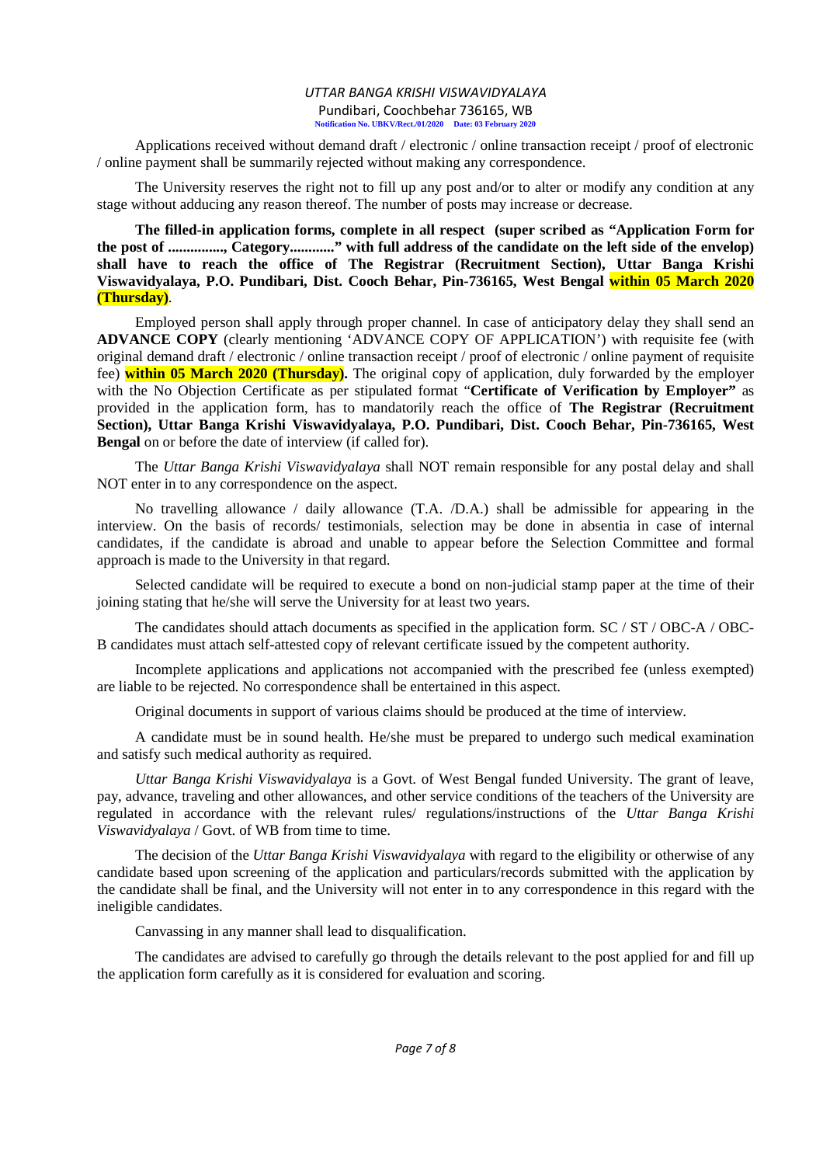Applications received without demand draft / electronic / online transaction receipt / proof of electronic / online payment shall be summarily rejected without making any correspondence.

The University reserves the right not to fill up any post and/or to alter or modify any condition at any stage without adducing any reason thereof. The number of posts may increase or decrease.

**The filled-in application forms, complete in all respect (super scribed as "Application Form for the post of ..............., Category............" with full address of the candidate on the left side of the envelop) shall have to reach the office of The Registrar (Recruitment Section), Uttar Banga Krishi Viswavidyalaya, P.O. Pundibari, Dist. Cooch Behar, Pin-736165, West Bengal within 05 March 2020 (Thursday)**.

Employed person shall apply through proper channel. In case of anticipatory delay they shall send an **ADVANCE COPY** (clearly mentioning 'ADVANCE COPY OF APPLICATION') with requisite fee (with original demand draft / electronic / online transaction receipt / proof of electronic / online payment of requisite fee) **within 05 March 2020 (Thursday).** The original copy of application, duly forwarded by the employer with the No Objection Certificate as per stipulated format "**Certificate of Verification by Employer"** as provided in the application form, has to mandatorily reach the office of **The Registrar (Recruitment Section), Uttar Banga Krishi Viswavidyalaya, P.O. Pundibari, Dist. Cooch Behar, Pin-736165, West Bengal** on or before the date of interview (if called for).

The *Uttar Banga Krishi Viswavidyalaya* shall NOT remain responsible for any postal delay and shall NOT enter in to any correspondence on the aspect.

No travelling allowance / daily allowance (T.A. /D.A.) shall be admissible for appearing in the interview. On the basis of records/ testimonials, selection may be done in absentia in case of internal candidates, if the candidate is abroad and unable to appear before the Selection Committee and formal approach is made to the University in that regard.

Selected candidate will be required to execute a bond on non-judicial stamp paper at the time of their joining stating that he/she will serve the University for at least two years.

The candidates should attach documents as specified in the application form. SC / ST / OBC-A / OBC-B candidates must attach self-attested copy of relevant certificate issued by the competent authority.

Incomplete applications and applications not accompanied with the prescribed fee (unless exempted) are liable to be rejected. No correspondence shall be entertained in this aspect.

Original documents in support of various claims should be produced at the time of interview.

A candidate must be in sound health. He/she must be prepared to undergo such medical examination and satisfy such medical authority as required.

*Uttar Banga Krishi Viswavidyalaya* is a Govt. of West Bengal funded University. The grant of leave, pay, advance, traveling and other allowances, and other service conditions of the teachers of the University are regulated in accordance with the relevant rules/ regulations/instructions of the *Uttar Banga Krishi Viswavidyalaya* / Govt. of WB from time to time.

The decision of the *Uttar Banga Krishi Viswavidyalaya* with regard to the eligibility or otherwise of any candidate based upon screening of the application and particulars/records submitted with the application by the candidate shall be final, and the University will not enter in to any correspondence in this regard with the ineligible candidates.

Canvassing in any manner shall lead to disqualification.

The candidates are advised to carefully go through the details relevant to the post applied for and fill up the application form carefully as it is considered for evaluation and scoring.